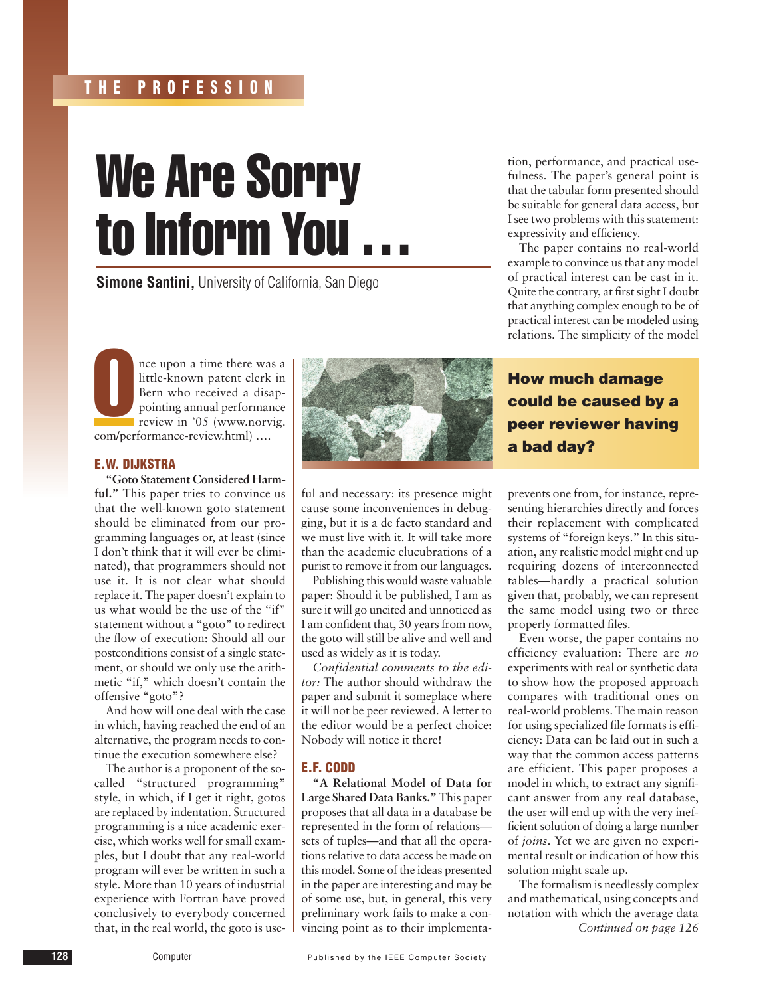# We Are Sorry to Inform You

**Simone Santini,** University of California, San Diego

O nce upon a time there was a little-known patent clerk in Bern who received a disappointing annual performance review in '05 (www.norvig. com/performance-review.html) ….

## **E.W. DIJKSTRA**

**"Goto Statement Considered Harmful."** This paper tries to convince us that the well-known goto statement should be eliminated from our programming languages or, at least (since I don't think that it will ever be eliminated), that programmers should not use it. It is not clear what should replace it. The paper doesn't explain to us what would be the use of the "if" statement without a "goto" to redirect the flow of execution: Should all our postconditions consist of a single statement, or should we only use the arithmetic "if," which doesn't contain the offensive "goto"?

And how will one deal with the case in which, having reached the end of an alternative, the program needs to continue the execution somewhere else?

The author is a proponent of the socalled "structured programming" style, in which, if I get it right, gotos are replaced by indentation. Structured programming is a nice academic exercise, which works well for small examples, but I doubt that any real-world program will ever be written in such a style. More than 10 years of industrial experience with Fortran have proved conclusively to everybody concerned that, in the real world, the goto is use-



ful and necessary: its presence might cause some inconveniences in debugging, but it is a de facto standard and we must live with it. It will take more than the academic elucubrations of a purist to remove it from our languages.

Publishing this would waste valuable paper: Should it be published, I am as sure it will go uncited and unnoticed as I am confident that, 30 years from now, the goto will still be alive and well and used as widely as it is today.

*Confidential comments to the editor:* The author should withdraw the paper and submit it someplace where it will not be peer reviewed. A letter to the editor would be a perfect choice: Nobody will notice it there!

## **E.F. CODD**

**"A Relational Model of Data for Large Shared Data Banks."** This paper proposes that all data in a database be represented in the form of relations sets of tuples—and that all the operations relative to data access be made on this model. Some of the ideas presented in the paper are interesting and may be of some use, but, in general, this very preliminary work fails to make a convincing point as to their implementation, performance, and practical usefulness. The paper's general point is that the tabular form presented should be suitable for general data access, but I see two problems with this statement: expressivity and efficiency.

The paper contains no real-world example to convince us that any model of practical interest can be cast in it. Quite the contrary, at first sight I doubt that anything complex enough to be of practical interest can be modeled using relations. The simplicity of the model

**How much damage could be caused by a peer reviewer having a bad day?**

prevents one from, for instance, representing hierarchies directly and forces their replacement with complicated systems of "foreign keys." In this situation, any realistic model might end up requiring dozens of interconnected tables—hardly a practical solution given that, probably, we can represent the same model using two or three properly formatted files.

Even worse, the paper contains no efficiency evaluation: There are *no* experiments with real or synthetic data to show how the proposed approach compares with traditional ones on real-world problems. The main reason for using specialized file formats is efficiency: Data can be laid out in such a way that the common access patterns are efficient. This paper proposes a model in which, to extract any significant answer from any real database, the user will end up with the very inefficient solution of doing a large number of *joins*. Yet we are given no experimental result or indication of how this solution might scale up.

The formalism is needlessly complex and mathematical, using concepts and notation with which the average data *Continued on page 126*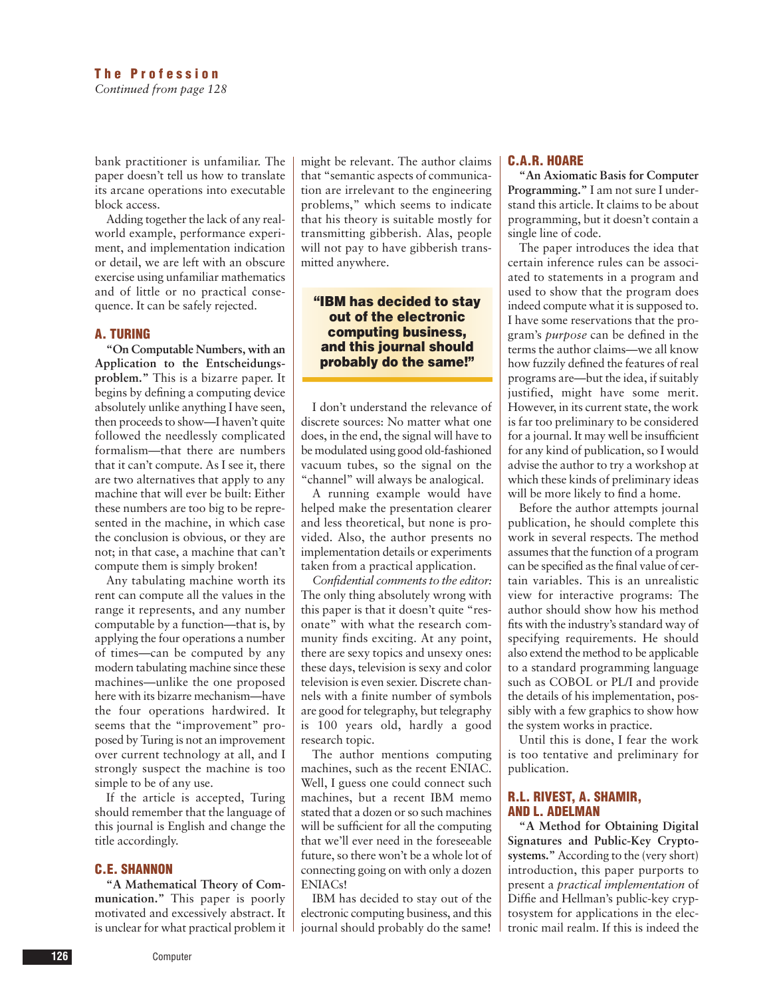bank practitioner is unfamiliar. The paper doesn't tell us how to translate its arcane operations into executable block access.

Adding together the lack of any realworld example, performance experiment, and implementation indication or detail, we are left with an obscure exercise using unfamiliar mathematics and of little or no practical consequence. It can be safely rejected.

### **A. TURING**

**"On Computable Numbers, with an Application to the Entscheidungsproblem."** This is a bizarre paper. It begins by defining a computing device absolutely unlike anything I have seen, then proceeds to show—I haven't quite followed the needlessly complicated formalism—that there are numbers that it can't compute. As I see it, there are two alternatives that apply to any machine that will ever be built: Either these numbers are too big to be represented in the machine, in which case the conclusion is obvious, or they are not; in that case, a machine that can't compute them is simply broken!

Any tabulating machine worth its rent can compute all the values in the range it represents, and any number computable by a function—that is, by applying the four operations a number of times—can be computed by any modern tabulating machine since these machines—unlike the one proposed here with its bizarre mechanism—have the four operations hardwired. It seems that the "improvement" proposed by Turing is not an improvement over current technology at all, and I strongly suspect the machine is too simple to be of any use.

If the article is accepted, Turing should remember that the language of this journal is English and change the title accordingly.

#### **C.E. SHANNON**

**"A Mathematical Theory of Communication."** This paper is poorly motivated and excessively abstract. It is unclear for what practical problem it

might be relevant. The author claims that "semantic aspects of communication are irrelevant to the engineering problems," which seems to indicate that his theory is suitable mostly for transmitting gibberish. Alas, people will not pay to have gibberish transmitted anywhere.

## **"IBM has decided to stay out of the electronic computing business, and this journal should probably do the same!"**

I don't understand the relevance of discrete sources: No matter what one does, in the end, the signal will have to be modulated using good old-fashioned vacuum tubes, so the signal on the "channel" will always be analogical.

A running example would have helped make the presentation clearer and less theoretical, but none is provided. Also, the author presents no implementation details or experiments taken from a practical application.

*Confidential comments to the editor:* The only thing absolutely wrong with this paper is that it doesn't quite "resonate" with what the research community finds exciting. At any point, there are sexy topics and unsexy ones: these days, television is sexy and color television is even sexier. Discrete channels with a finite number of symbols are good for telegraphy, but telegraphy is 100 years old, hardly a good research topic.

The author mentions computing machines, such as the recent ENIAC. Well, I guess one could connect such machines, but a recent IBM memo stated that a dozen or so such machines will be sufficient for all the computing that we'll ever need in the foreseeable future, so there won't be a whole lot of connecting going on with only a dozen ENIACs!

IBM has decided to stay out of the electronic computing business, and this journal should probably do the same!

#### **C.A.R. HOARE**

**"An Axiomatic Basis for Computer Programming."** I am not sure I understand this article. It claims to be about programming, but it doesn't contain a single line of code.

The paper introduces the idea that certain inference rules can be associated to statements in a program and used to show that the program does indeed compute what it is supposed to. I have some reservations that the program's *purpose* can be defined in the terms the author claims—we all know how fuzzily defined the features of real programs are—but the idea, if suitably justified, might have some merit. However, in its current state, the work is far too preliminary to be considered for a journal. It may well be insufficient for any kind of publication, so I would advise the author to try a workshop at which these kinds of preliminary ideas will be more likely to find a home.

Before the author attempts journal publication, he should complete this work in several respects. The method assumes that the function of a program can be specified as the final value of certain variables. This is an unrealistic view for interactive programs: The author should show how his method fits with the industry's standard way of specifying requirements. He should also extend the method to be applicable to a standard programming language such as COBOL or PL/I and provide the details of his implementation, possibly with a few graphics to show how the system works in practice.

Until this is done, I fear the work is too tentative and preliminary for publication.

## **R.L. RIVEST, A. SHAMIR, AND L. ADELMAN**

**"A Method for Obtaining Digital Signatures and Public-Key Cryptosystems."** According to the (very short) introduction, this paper purports to present a *practical implementation* of Diffie and Hellman's public-key cryptosystem for applications in the electronic mail realm. If this is indeed the